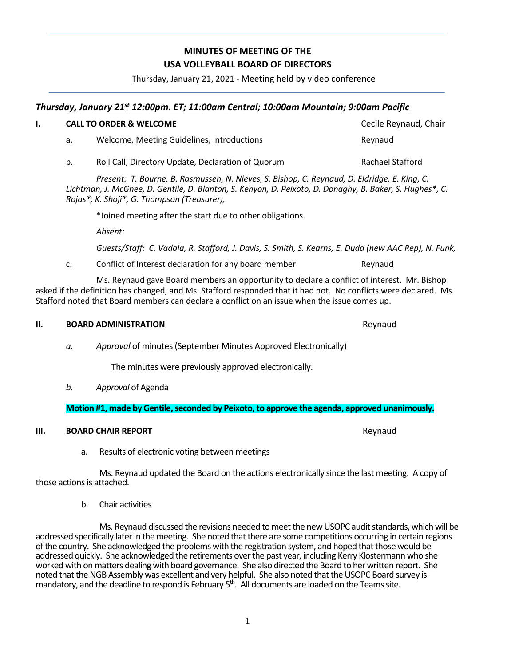# 1

**MINUTES OF MEETING OF THE USA VOLLEYBALL BOARD OF DIRECTORS** 

Thursday, January 21, 2021 - Meeting held by video conference

# *Thursday, January 21st 12:00pm. ET; 11:00am Central; 10:00am Mountain; 9:00am Pacific*

|  | <b>CALL TO ORDER &amp; WELCOME</b> |                                                    | Cecile Reynaud, Chair |
|--|------------------------------------|----------------------------------------------------|-----------------------|
|  | а.                                 | Welcome, Meeting Guidelines, Introductions         | Revnaud               |
|  | b.                                 | Roll Call, Directory Update, Declaration of Quorum | Rachael Stafford      |

*Present: T. Bourne, B. Rasmussen, N. Nieves, S. Bishop, C. Reynaud, D. Eldridge, E. King, C. Lichtman, J. McGhee, D. Gentile, D. Blanton, S. Kenyon, D. Peixoto, D. Donaghy, B. Baker, S. Hughes\*, C. Rojas\*, K. Shoji\*, G. Thompson (Treasurer),* 

\*Joined meeting after the start due to other obligations.

*Absent:*

*Guests/Staff: C. Vadala, R. Stafford, J. Davis, S. Smith, S. Kearns, E. Duda (new AAC Rep), N. Funk,*

c. Conflict of Interest declaration for any board member Reynaud

Ms. Reynaud gave Board members an opportunity to declare a conflict of interest. Mr. Bishop asked if the definition has changed, and Ms. Stafford responded that it had not. No conflicts were declared. Ms. Stafford noted that Board members can declare a conflict on an issue when the issue comes up.

## **II. BOARD ADMINISTRATION Reynaud Reynaud**

*a. Approval* of minutes (September Minutes Approved Electronically)

The minutes were previously approved electronically.

*b. Approval* of Agenda

## **Motion #1, made by Gentile, seconded by Peixoto, to approve the agenda, approved unanimously.**

## **III. BOARD CHAIR REPORT REPORT Reynaud Reynaud**

a. Results of electronic voting between meetings

Ms. Reynaud updated the Board on the actions electronically since the last meeting. A copy of those actions is attached.

b. Chair activities

Ms. Reynaud discussed the revisions needed to meet the new USOPC audit standards, which will be addressed specifically later in the meeting. She noted that there are some competitions occurring in certain regions of the country. She acknowledged the problems with the registration system, and hoped that those would be addressed quickly. She acknowledged the retirements over the past year, including Kerry Klostermann who she worked with on matters dealing with board governance. She also directed the Board to her written report. She noted that the NGB Assembly was excellent and very helpful. She also noted that the USOPC Board survey is mandatory, and the deadline to respond is February  $5<sup>th</sup>$ . All documents are loaded on the Teams site.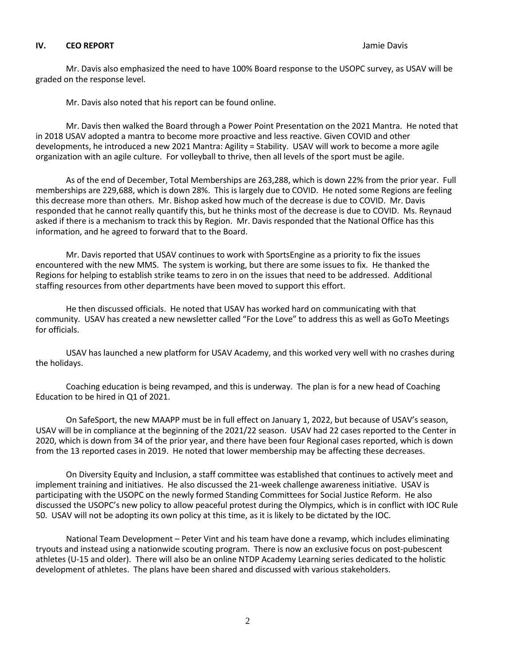#### **IV. CEO REPORT** Jamie Davis

Mr. Davis also emphasized the need to have 100% Board response to the USOPC survey, as USAV will be graded on the response level.

Mr. Davis also noted that his report can be found online.

Mr. Davis then walked the Board through a Power Point Presentation on the 2021 Mantra. He noted that in 2018 USAV adopted a mantra to become more proactive and less reactive. Given COVID and other developments, he introduced a new 2021 Mantra: Agility = Stability. USAV will work to become a more agile organization with an agile culture. For volleyball to thrive, then all levels of the sport must be agile.

As of the end of December, Total Memberships are 263,288, which is down 22% from the prior year. Full memberships are 229,688, which is down 28%. This is largely due to COVID. He noted some Regions are feeling this decrease more than others. Mr. Bishop asked how much of the decrease is due to COVID. Mr. Davis responded that he cannot really quantify this, but he thinks most of the decrease is due to COVID. Ms. Reynaud asked if there is a mechanism to track this by Region. Mr. Davis responded that the National Office has this information, and he agreed to forward that to the Board.

Mr. Davis reported that USAV continues to work with SportsEngine as a priority to fix the issues encountered with the new MMS. The system is working, but there are some issues to fix. He thanked the Regions for helping to establish strike teams to zero in on the issues that need to be addressed. Additional staffing resources from other departments have been moved to support this effort.

He then discussed officials. He noted that USAV has worked hard on communicating with that community. USAV has created a new newsletter called "For the Love" to address this as well as GoTo Meetings for officials.

USAV has launched a new platform for USAV Academy, and this worked very well with no crashes during the holidays.

Coaching education is being revamped, and this is underway. The plan is for a new head of Coaching Education to be hired in Q1 of 2021.

On SafeSport, the new MAAPP must be in full effect on January 1, 2022, but because of USAV's season, USAV will be in compliance at the beginning of the 2021/22 season. USAV had 22 cases reported to the Center in 2020, which is down from 34 of the prior year, and there have been four Regional cases reported, which is down from the 13 reported cases in 2019. He noted that lower membership may be affecting these decreases.

On Diversity Equity and Inclusion, a staff committee was established that continues to actively meet and implement training and initiatives. He also discussed the 21-week challenge awareness initiative. USAV is participating with the USOPC on the newly formed Standing Committees for Social Justice Reform. He also discussed the USOPC's new policy to allow peaceful protest during the Olympics, which is in conflict with IOC Rule 50. USAV will not be adopting its own policy at this time, as it is likely to be dictated by the IOC.

National Team Development – Peter Vint and his team have done a revamp, which includes eliminating tryouts and instead using a nationwide scouting program. There is now an exclusive focus on post-pubescent athletes (U-15 and older). There will also be an online NTDP Academy Learning series dedicated to the holistic development of athletes. The plans have been shared and discussed with various stakeholders.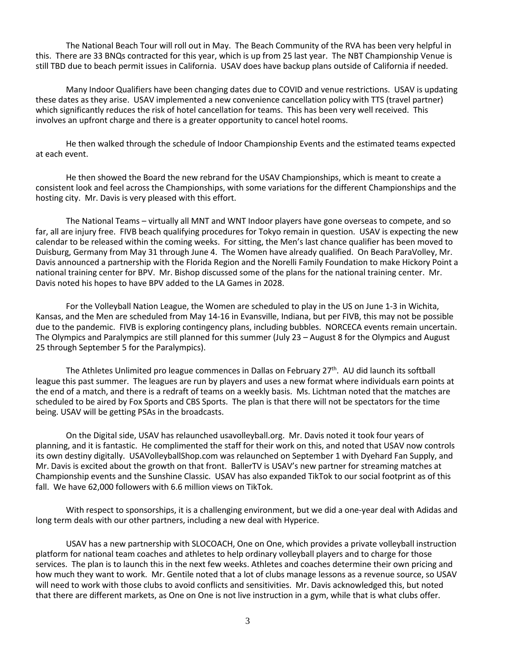The National Beach Tour will roll out in May. The Beach Community of the RVA has been very helpful in this. There are 33 BNQs contracted for this year, which is up from 25 last year. The NBT Championship Venue is still TBD due to beach permit issues in California. USAV does have backup plans outside of California if needed.

Many Indoor Qualifiers have been changing dates due to COVID and venue restrictions. USAV is updating these dates as they arise. USAV implemented a new convenience cancellation policy with TTS (travel partner) which significantly reduces the risk of hotel cancellation for teams. This has been very well received. This involves an upfront charge and there is a greater opportunity to cancel hotel rooms.

He then walked through the schedule of Indoor Championship Events and the estimated teams expected at each event.

He then showed the Board the new rebrand for the USAV Championships, which is meant to create a consistent look and feel across the Championships, with some variations for the different Championships and the hosting city. Mr. Davis is very pleased with this effort.

The National Teams – virtually all MNT and WNT Indoor players have gone overseas to compete, and so far, all are injury free. FIVB beach qualifying procedures for Tokyo remain in question. USAV is expecting the new calendar to be released within the coming weeks. For sitting, the Men's last chance qualifier has been moved to Duisburg, Germany from May 31 through June 4. The Women have already qualified. On Beach ParaVolley, Mr. Davis announced a partnership with the Florida Region and the Norelli Family Foundation to make Hickory Point a national training center for BPV. Mr. Bishop discussed some of the plans for the national training center. Mr. Davis noted his hopes to have BPV added to the LA Games in 2028.

For the Volleyball Nation League, the Women are scheduled to play in the US on June 1-3 in Wichita, Kansas, and the Men are scheduled from May 14-16 in Evansville, Indiana, but per FIVB, this may not be possible due to the pandemic. FIVB is exploring contingency plans, including bubbles. NORCECA events remain uncertain. The Olympics and Paralympics are still planned for this summer (July 23 – August 8 for the Olympics and August 25 through September 5 for the Paralympics).

The Athletes Unlimited pro league commences in Dallas on February 27<sup>th</sup>. AU did launch its softball league this past summer. The leagues are run by players and uses a new format where individuals earn points at the end of a match, and there is a redraft of teams on a weekly basis. Ms. Lichtman noted that the matches are scheduled to be aired by Fox Sports and CBS Sports. The plan is that there will not be spectators for the time being. USAV will be getting PSAs in the broadcasts.

On the Digital side, USAV has relaunched usavolleyball.org. Mr. Davis noted it took four years of planning, and it is fantastic. He complimented the staff for their work on this, and noted that USAV now controls its own destiny digitally. USAVolleyballShop.com was relaunched on September 1 with Dyehard Fan Supply, and Mr. Davis is excited about the growth on that front. BallerTV is USAV's new partner for streaming matches at Championship events and the Sunshine Classic. USAV has also expanded TikTok to our social footprint as of this fall. We have 62,000 followers with 6.6 million views on TikTok.

With respect to sponsorships, it is a challenging environment, but we did a one-year deal with Adidas and long term deals with our other partners, including a new deal with Hyperice.

USAV has a new partnership with SLOCOACH, One on One, which provides a private volleyball instruction platform for national team coaches and athletes to help ordinary volleyball players and to charge for those services. The plan is to launch this in the next few weeks. Athletes and coaches determine their own pricing and how much they want to work. Mr. Gentile noted that a lot of clubs manage lessons as a revenue source, so USAV will need to work with those clubs to avoid conflicts and sensitivities. Mr. Davis acknowledged this, but noted that there are different markets, as One on One is not live instruction in a gym, while that is what clubs offer.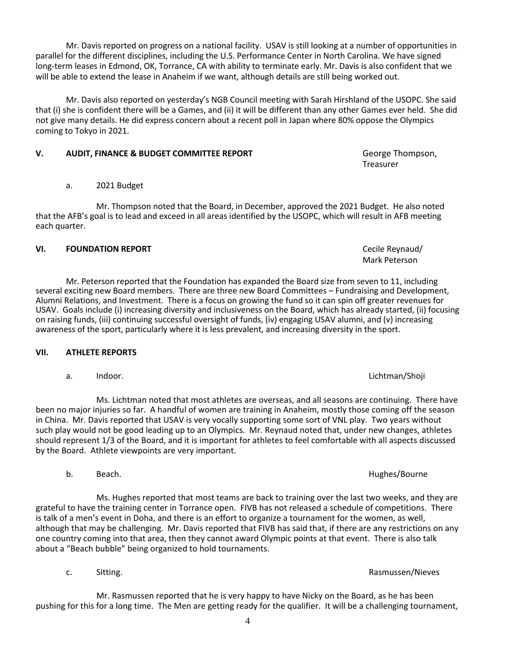Mr. Davis reported on progress on a national facility. USAV is still looking at a number of opportunities in parallel for the different disciplines, including the U.S. Performance Center in North Carolina. We have signed long-term leases in Edmond, OK, Torrance, CA with ability to terminate early. Mr. Davis is also confident that we will be able to extend the lease in Anaheim if we want, although details are still being worked out.

Mr. Davis also reported on yesterday's NGB Council meeting with Sarah Hirshland of the USOPC. She said that (i) she is confident there will be a Games, and (ii) it will be different than any other Games ever held. She did not give many details. He did express concern about a recent poll in Japan where 80% oppose the Olympics coming to Tokyo in 2021.

# **V. AUDIT, FINANCE & BUDGET COMMITTEE REPORT George Thompson,**

# a. 2021 Budget

Mr. Thompson noted that the Board, in December, approved the 2021 Budget. He also noted that the AFB's goal is to lead and exceed in all areas identified by the USOPC, which will result in AFB meeting each quarter.

# VI. FOUNDATION REPORT **FOUNDATION REPORT CECILE Reynaud**/

Mr. Peterson reported that the Foundation has expanded the Board size from seven to 11, including several exciting new Board members. There are three new Board Committees – Fundraising and Development, Alumni Relations, and Investment. There is a focus on growing the fund so it can spin off greater revenues for USAV. Goals include (i) increasing diversity and inclusiveness on the Board, which has already started, (ii) focusing on raising funds, (iii) continuing successful oversight of funds, (iv) engaging USAV alumni, and (v) increasing awareness of the sport, particularly where it is less prevalent, and increasing diversity in the sport.

# **VII. ATHLETE REPORTS**

a. Indoor. Lichtman/Shoji

Ms. Lichtman noted that most athletes are overseas, and all seasons are continuing. There have been no major injuries so far. A handful of women are training in Anaheim, mostly those coming off the season in China. Mr. Davis reported that USAV is very vocally supporting some sort of VNL play. Two years without such play would not be good leading up to an Olympics. Mr. Reynaud noted that, under new changes, athletes should represent 1/3 of the Board, and it is important for athletes to feel comfortable with all aspects discussed by the Board. Athlete viewpoints are very important.

Ms. Hughes reported that most teams are back to training over the last two weeks, and they are grateful to have the training center in Torrance open. FIVB has not released a schedule of competitions. There is talk of a men's event in Doha, and there is an effort to organize a tournament for the women, as well, although that may be challenging. Mr. Davis reported that FIVB has said that, if there are any restrictions on any one country coming into that area, then they cannot award Olympic points at that event. There is also talk about a "Beach bubble" being organized to hold tournaments.

Mr. Rasmussen reported that he is very happy to have Nicky on the Board, as he has been pushing for this for a long time. The Men are getting ready for the qualifier. It will be a challenging tournament,

c. Sitting. Sitting. Subset of the state of the state of the state of the state of the state of the state of the state of the state of the state of the state of the state of the state of the state of the state of the state

Mark Peterson

b. Beach. **Beach.** Beach and the set of the set of the set of the set of the set of the set of the set of the set of the set of the set of the set of the set of the set of the set of the set of the set of the set of the se

Treasurer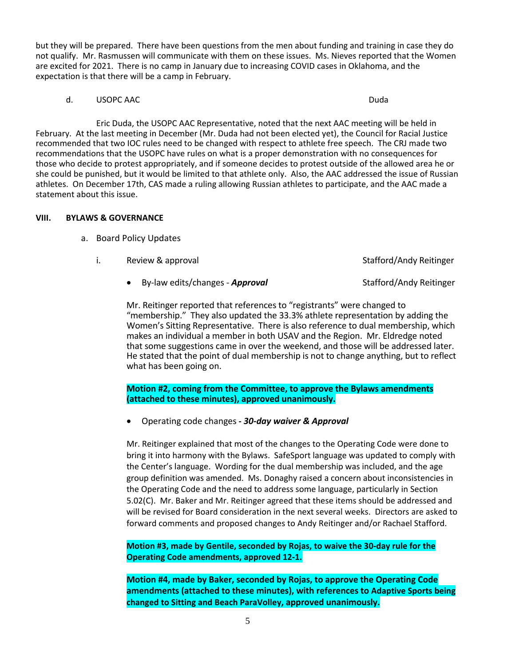but they will be prepared. There have been questions from the men about funding and training in case they do not qualify. Mr. Rasmussen will communicate with them on these issues. Ms. Nieves reported that the Women are excited for 2021. There is no camp in January due to increasing COVID cases in Oklahoma, and the expectation is that there will be a camp in February.

#### d. USOPC AAC Duda and the second service of the service of the service of the service of the Duda

Eric Duda, the USOPC AAC Representative, noted that the next AAC meeting will be held in February. At the last meeting in December (Mr. Duda had not been elected yet), the Council for Racial Justice recommended that two IOC rules need to be changed with respect to athlete free speech. The CRJ made two recommendations that the USOPC have rules on what is a proper demonstration with no consequences for those who decide to protest appropriately, and if someone decides to protest outside of the allowed area he or she could be punished, but it would be limited to that athlete only. Also, the AAC addressed the issue of Russian athletes. On December 17th, CAS made a ruling allowing Russian athletes to participate, and the AAC made a statement about this issue.

#### **VIII. BYLAWS & GOVERNANCE**

- a. Board Policy Updates
	- i. Review & approval Stafford/Andy Reitinger
		- By-law edits/changes *Approval* Stafford/Andy Reitinger

Mr. Reitinger reported that references to "registrants" were changed to "membership." They also updated the 33.3% athlete representation by adding the Women's Sitting Representative. There is also reference to dual membership, which makes an individual a member in both USAV and the Region. Mr. Eldredge noted that some suggestions came in over the weekend, and those will be addressed later. He stated that the point of dual membership is not to change anything, but to reflect what has been going on.

**Motion #2, coming from the Committee, to approve the Bylaws amendments (attached to these minutes), approved unanimously.**

• Operating code changes **-** *30-day waiver & Approval*

Mr. Reitinger explained that most of the changes to the Operating Code were done to bring it into harmony with the Bylaws. SafeSport language was updated to comply with the Center's language. Wording for the dual membership was included, and the age group definition was amended. Ms. Donaghy raised a concern about inconsistencies in the Operating Code and the need to address some language, particularly in Section 5.02(C). Mr. Baker and Mr. Reitinger agreed that these items should be addressed and will be revised for Board consideration in the next several weeks. Directors are asked to forward comments and proposed changes to Andy Reitinger and/or Rachael Stafford.

**Motion #3, made by Gentile, seconded by Rojas, to waive the 30-day rule for the Operating Code amendments, approved 12-1.**

**Motion #4, made by Baker, seconded by Rojas, to approve the Operating Code amendments (attached to these minutes), with references to Adaptive Sports being changed to Sitting and Beach ParaVolley, approved unanimously.**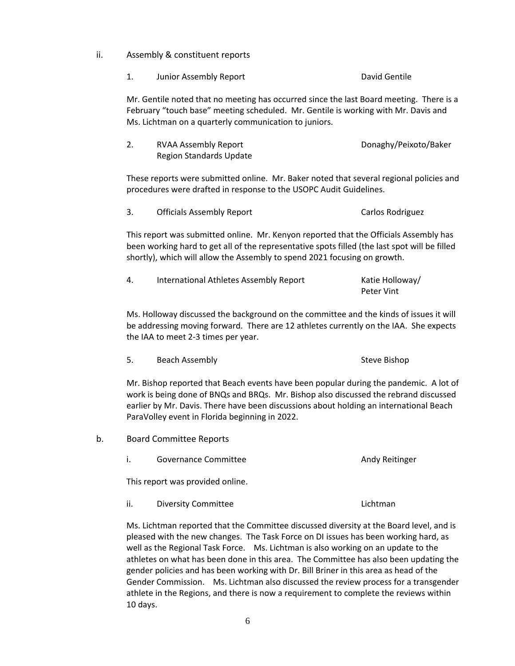- ii. Assembly & constituent reports
	- 1. Junior Assembly Report **David Gentile**

Mr. Gentile noted that no meeting has occurred since the last Board meeting. There is a February "touch base" meeting scheduled. Mr. Gentile is working with Mr. Davis and Ms. Lichtman on a quarterly communication to juniors.

2. RVAA Assembly Report Donaghy/Peixoto/Baker Region Standards Update

These reports were submitted online. Mr. Baker noted that several regional policies and procedures were drafted in response to the USOPC Audit Guidelines.

3. Officials Assembly Report Carlos Rodriguez

This report was submitted online. Mr. Kenyon reported that the Officials Assembly has been working hard to get all of the representative spots filled (the last spot will be filled shortly), which will allow the Assembly to spend 2021 focusing on growth.

| 4. | International Athletes Assembly Report | Katie Holloway/ |
|----|----------------------------------------|-----------------|
|    |                                        | Peter Vint      |

Ms. Holloway discussed the background on the committee and the kinds of issues it will be addressing moving forward. There are 12 athletes currently on the IAA. She expects the IAA to meet 2-3 times per year.

5. Beach Assembly **Steve Bishop** Steve Bishop

Mr. Bishop reported that Beach events have been popular during the pandemic. A lot of work is being done of BNQs and BRQs. Mr. Bishop also discussed the rebrand discussed earlier by Mr. Davis. There have been discussions about holding an international Beach ParaVolley event in Florida beginning in 2022.

- b. Board Committee Reports
	- i. Governance Committee **Andy Reitinger Andy Reitinger**

This report was provided online.

ii. Diversity Committee **Lichtman** 

Ms. Lichtman reported that the Committee discussed diversity at the Board level, and is pleased with the new changes. The Task Force on DI issues has been working hard, as well as the Regional Task Force. Ms. Lichtman is also working on an update to the athletes on what has been done in this area. The Committee has also been updating the gender policies and has been working with Dr. Bill Briner in this area as head of the Gender Commission. Ms. Lichtman also discussed the review process for a transgender athlete in the Regions, and there is now a requirement to complete the reviews within 10 days.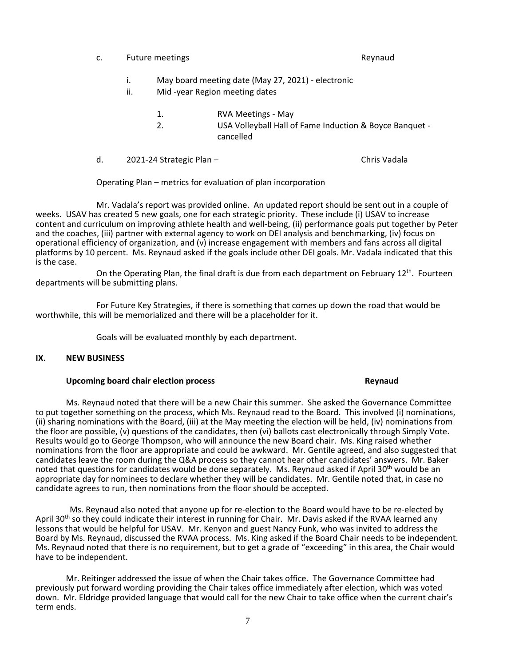- c. Future meetings **Reynaud Reynaud** 
	- i. May board meeting date (May 27, 2021) electronic
	- ii. Mid -year Region meeting dates
		- 1. RVA Meetings May
		- 2. USA Volleyball Hall of Fame Induction & Boyce Banquet cancelled
- d. 2021-24 Strategic Plan Chris Vadala

Operating Plan – metrics for evaluation of plan incorporation

Mr. Vadala's report was provided online. An updated report should be sent out in a couple of weeks. USAV has created 5 new goals, one for each strategic priority. These include (i) USAV to increase content and curriculum on improving athlete health and well-being, (ii) performance goals put together by Peter and the coaches, (iii) partner with external agency to work on DEI analysis and benchmarking, (iv) focus on operational efficiency of organization, and (v) increase engagement with members and fans across all digital platforms by 10 percent. Ms. Reynaud asked if the goals include other DEI goals. Mr. Vadala indicated that this is the case.

On the Operating Plan, the final draft is due from each department on February  $12<sup>th</sup>$ . Fourteen departments will be submitting plans.

For Future Key Strategies, if there is something that comes up down the road that would be worthwhile, this will be memorialized and there will be a placeholder for it.

Goals will be evaluated monthly by each department.

#### **IX. NEW BUSINESS**

#### **Upcoming board chair election process Reprinting the Second Reynaud**

#### Ms. Reynaud noted that there will be a new Chair this summer. She asked the Governance Committee to put together something on the process, which Ms. Reynaud read to the Board. This involved (i) nominations, (ii) sharing nominations with the Board, (iii) at the May meeting the election will be held, (iv) nominations from the floor are possible, (v) questions of the candidates, then (vi) ballots cast electronically through Simply Vote. Results would go to George Thompson, who will announce the new Board chair. Ms. King raised whether nominations from the floor are appropriate and could be awkward. Mr. Gentile agreed, and also suggested that candidates leave the room during the Q&A process so they cannot hear other candidates' answers. Mr. Baker noted that questions for candidates would be done separately. Ms. Reynaud asked if April 30<sup>th</sup> would be an appropriate day for nominees to declare whether they will be candidates. Mr. Gentile noted that, in case no candidate agrees to run, then nominations from the floor should be accepted.

Ms. Reynaud also noted that anyone up for re-election to the Board would have to be re-elected by April 30<sup>th</sup> so they could indicate their interest in running for Chair. Mr. Davis asked if the RVAA learned any lessons that would be helpful for USAV. Mr. Kenyon and guest Nancy Funk, who was invited to address the Board by Ms. Reynaud, discussed the RVAA process. Ms. King asked if the Board Chair needs to be independent. Ms. Reynaud noted that there is no requirement, but to get a grade of "exceeding" in this area, the Chair would have to be independent.

Mr. Reitinger addressed the issue of when the Chair takes office. The Governance Committee had previously put forward wording providing the Chair takes office immediately after election, which was voted down. Mr. Eldridge provided language that would call for the new Chair to take office when the current chair's term ends.